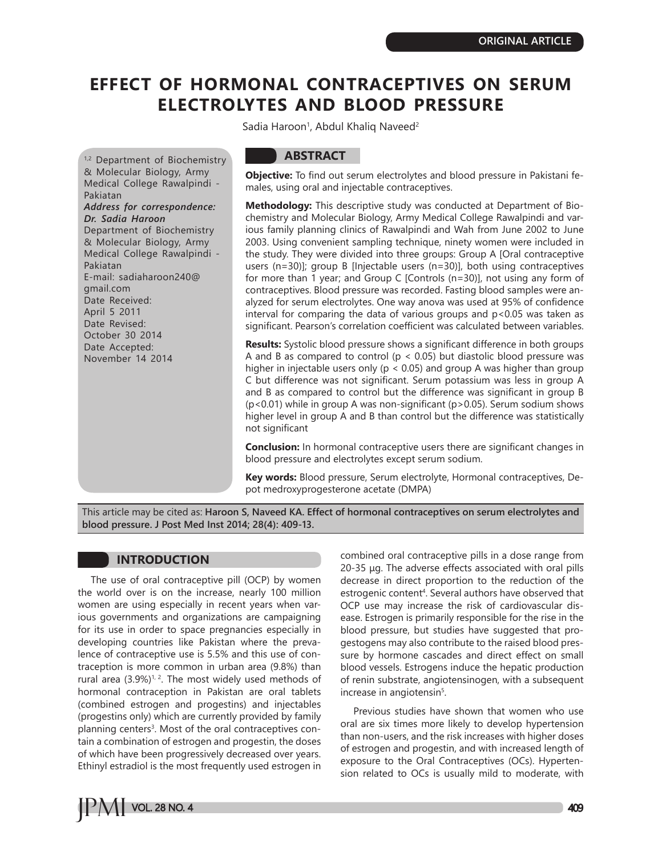# **EFFECT OF HORMONAL CONTRACEPTIVES ON SERUM ELECTROLYTES AND BLOOD PRESSURE**

Sadia Haroon<sup>1</sup>, Abdul Khaliq Naveed<sup>2</sup>

1,2 Department of Biochemistry & Molecular Biology, Army Medical College Rawalpindi - Pakiatan *Address for correspondence: Dr. Sadia Haroon* Department of Biochemistry & Molecular Biology, Army Medical College Rawalpindi - Pakiatan E-mail: sadiaharoon240@ gmail.com Date Received: April 5 2011 Date Revised: October 30 2014 Date Accepted: November 14 2014

## **ABSTRACT**

**Objective:** To find out serum electrolytes and blood pressure in Pakistani females, using oral and injectable contraceptives.

**Methodology:** This descriptive study was conducted at Department of Biochemistry and Molecular Biology, Army Medical College Rawalpindi and various family planning clinics of Rawalpindi and Wah from June 2002 to June 2003. Using convenient sampling technique, ninety women were included in the study. They were divided into three groups: Group A [Oral contraceptive users (n=30)]; group B [Injectable users (n=30)], both using contraceptives for more than 1 year; and Group C [Controls (n=30)], not using any form of contraceptives. Blood pressure was recorded. Fasting blood samples were analyzed for serum electrolytes. One way anova was used at 95% of confidence interval for comparing the data of various groups and p<0.05 was taken as significant. Pearson's correlation coefficient was calculated between variables.

**Results:** Systolic blood pressure shows a significant difference in both groups A and B as compared to control ( $p < 0.05$ ) but diastolic blood pressure was higher in injectable users only ( $p < 0.05$ ) and group A was higher than group C but difference was not significant. Serum potassium was less in group A and B as compared to control but the difference was significant in group B (p<0.01) while in group A was non-significant (p>0.05). Serum sodium shows higher level in group A and B than control but the difference was statistically not significant

**Conclusion:** In hormonal contraceptive users there are significant changes in blood pressure and electrolytes except serum sodium.

**Key words:** Blood pressure, Serum electrolyte, Hormonal contraceptives, Depot medroxyprogesterone acetate (DMPA)

This article may be cited as: **Haroon S, Naveed KA. Effect of hormonal contraceptives on serum electrolytes and blood pressure. J Post Med Inst 2014; 28(4): 409-13.**

## **INTRODUCTION**

The use of oral contraceptive pill (OCP) by women the world over is on the increase, nearly 100 million women are using especially in recent years when various governments and organizations are campaigning for its use in order to space pregnancies especially in developing countries like Pakistan where the prevalence of contraceptive use is 5.5% and this use of contraception is more common in urban area (9.8%) than rural area  $(3.9\%)^{1/2}$ . The most widely used methods of hormonal contraception in Pakistan are oral tablets (combined estrogen and progestins) and injectables (progestins only) which are currently provided by family planning centers<sup>3</sup>. Most of the oral contraceptives contain a combination of estrogen and progestin, the doses of which have been progressively decreased over years. Ethinyl estradiol is the most frequently used estrogen in combined oral contraceptive pills in a dose range from 20-35 μg. The adverse effects associated with oral pills decrease in direct proportion to the reduction of the estrogenic content<sup>4</sup>. Several authors have observed that OCP use may increase the risk of cardiovascular disease. Estrogen is primarily responsible for the rise in the blood pressure, but studies have suggested that progestogens may also contribute to the raised blood pressure by hormone cascades and direct effect on small blood vessels. Estrogens induce the hepatic production of renin substrate, angiotensinogen, with a subsequent increase in angiotensin<sup>5</sup>.

Previous studies have shown that women who use oral are six times more likely to develop hypertension than non-users, and the risk increases with higher doses of estrogen and progestin, and with increased length of exposure to the Oral Contraceptives (OCs). Hypertension related to OCs is usually mild to moderate, with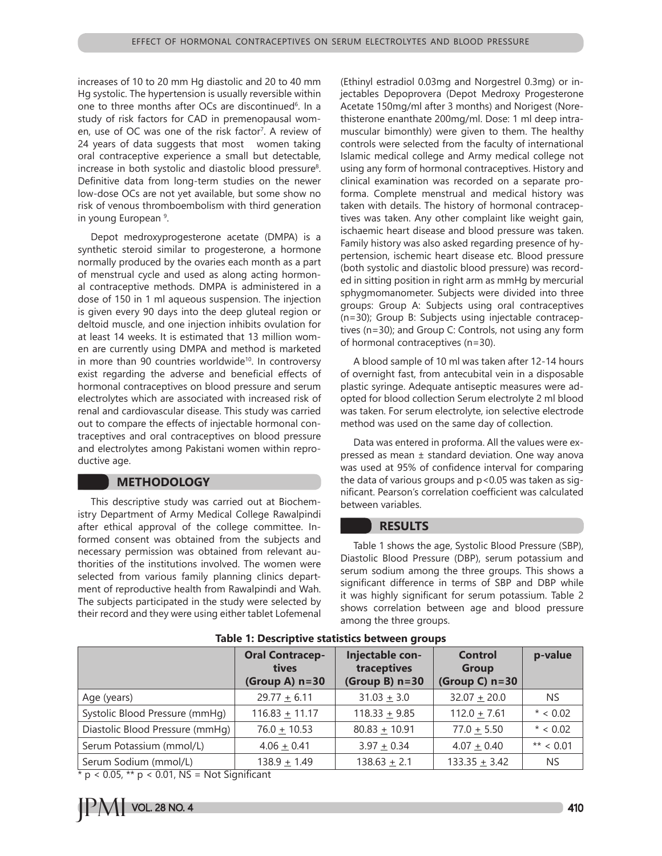increases of 10 to 20 mm Hg diastolic and 20 to 40 mm Hg systolic. The hypertension is usually reversible within one to three months after OCs are discontinued<sup>6</sup>. In a study of risk factors for CAD in premenopausal women, use of OC was one of the risk factor<sup>7</sup>. A review of 24 years of data suggests that most women taking oral contraceptive experience a small but detectable, increase in both systolic and diastolic blood pressure<sup>8</sup>. Definitive data from long-term studies on the newer low-dose OCs are not yet available, but some show no risk of venous thromboembolism with third generation in young European 9 .

Depot medroxyprogesterone acetate (DMPA) is a synthetic steroid similar to progesterone, a hormone normally produced by the ovaries each month as a part of menstrual cycle and used as along acting hormonal contraceptive methods. DMPA is administered in a dose of 150 in 1 ml aqueous suspension. The injection is given every 90 days into the deep gluteal region or deltoid muscle, and one injection inhibits ovulation for at least 14 weeks. It is estimated that 13 million women are currently using DMPA and method is marketed in more than 90 countries worldwide<sup>10</sup>. In controversy exist regarding the adverse and beneficial effects of hormonal contraceptives on blood pressure and serum electrolytes which are associated with increased risk of renal and cardiovascular disease. This study was carried out to compare the effects of injectable hormonal contraceptives and oral contraceptives on blood pressure and electrolytes among Pakistani women within reproductive age.

## **METHODOLOGY**

This descriptive study was carried out at Biochemistry Department of Army Medical College Rawalpindi after ethical approval of the college committee. Informed consent was obtained from the subjects and necessary permission was obtained from relevant authorities of the institutions involved. The women were selected from various family planning clinics department of reproductive health from Rawalpindi and Wah. The subjects participated in the study were selected by their record and they were using either tablet Lofemenal

(Ethinyl estradiol 0.03mg and Norgestrel 0.3mg) or injectables Depoprovera (Depot Medroxy Progesterone Acetate 150mg/ml after 3 months) and Norigest (Norethisterone enanthate 200mg/ml. Dose: 1 ml deep intramuscular bimonthly) were given to them. The healthy controls were selected from the faculty of international Islamic medical college and Army medical college not using any form of hormonal contraceptives. History and clinical examination was recorded on a separate proforma. Complete menstrual and medical history was taken with details. The history of hormonal contraceptives was taken. Any other complaint like weight gain, ischaemic heart disease and blood pressure was taken. Family history was also asked regarding presence of hypertension, ischemic heart disease etc. Blood pressure (both systolic and diastolic blood pressure) was recorded in sitting position in right arm as mmHg by mercurial sphygmomanometer. Subjects were divided into three groups: Group A: Subjects using oral contraceptives (n=30); Group B: Subjects using injectable contraceptives (n=30); and Group C: Controls, not using any form of hormonal contraceptives (n=30).

A blood sample of 10 ml was taken after 12-14 hours of overnight fast, from antecubital vein in a disposable plastic syringe. Adequate antiseptic measures were adopted for blood collection Serum electrolyte 2 ml blood was taken. For serum electrolyte, ion selective electrode method was used on the same day of collection.

Data was entered in proforma. All the values were expressed as mean ± standard deviation. One way anova was used at 95% of confidence interval for comparing the data of various groups and p<0.05 was taken as significant. Pearson's correlation coefficient was calculated between variables.

#### **RESULTS**

Table 1 shows the age, Systolic Blood Pressure (SBP), Diastolic Blood Pressure (DBP), serum potassium and serum sodium among the three groups. This shows a significant difference in terms of SBP and DBP while it was highly significant for serum potassium. Table 2 shows correlation between age and blood pressure among the three groups.

|                                                                                                                                                                                                                                                                                                                                            | <b>Oral Contracep-</b><br>tives<br>(Group A) $n=30$                                        | Injectable con-<br>traceptives<br>(Group B) $n=30$ | <b>Control</b><br><b>Group</b><br>(Group C) $n=30$ | p-value     |
|--------------------------------------------------------------------------------------------------------------------------------------------------------------------------------------------------------------------------------------------------------------------------------------------------------------------------------------------|--------------------------------------------------------------------------------------------|----------------------------------------------------|----------------------------------------------------|-------------|
| Age (years)                                                                                                                                                                                                                                                                                                                                | $29.77 + 6.11$                                                                             | $31.03 + 3.0$                                      | $32.07 + 20.0$                                     | <b>NS</b>   |
| Systolic Blood Pressure (mmHg)                                                                                                                                                                                                                                                                                                             | $116.83 + 11.17$                                                                           | $118.33 + 9.85$                                    | $112.0 + 7.61$                                     | $* < 0.02$  |
| Diastolic Blood Pressure (mmHq)                                                                                                                                                                                                                                                                                                            | $76.0 \pm 10.53$                                                                           | $80.83 + 10.91$                                    | $77.0 + 5.50$                                      | $* < 0.02$  |
| Serum Potassium (mmol/L)                                                                                                                                                                                                                                                                                                                   | $4.06 \pm 0.41$                                                                            | $3.97 + 0.34$                                      | $4.07 + 0.40$                                      | ** $< 0.01$ |
| Serum Sodium (mmol/L)<br>$\ddot{ }$ $\ddot{ }$ $\ddot{ }$ $\ddot{ }$ $\ddot{ }$ $\ddot{ }$ $\ddot{ }$ $\ddot{ }$ $\ddot{ }$ $\ddot{ }$ $\ddot{ }$ $\ddot{ }$ $\ddot{ }$ $\ddot{ }$ $\ddot{ }$ $\ddot{ }$ $\ddot{ }$ $\ddot{ }$ $\ddot{ }$ $\ddot{ }$ $\ddot{ }$ $\ddot{ }$ $\ddot{ }$ $\ddot{ }$ $\ddot{ }$ $\ddot{ }$ $\ddot{ }$ $\ddot{$ | $138.9 + 1.49$<br>$\mathbf{M}$ . $\mathbf{C}$ , $\mathbf{C}$ , $\mathbf{C}$ , $\mathbf{C}$ | $138.63 \pm 2.1$                                   | $133.35 + 3.42$                                    | <b>NS</b>   |

**Table 1: Descriptive statistics between groups**

\* p < 0.05, \*\* p < 0.01, NS = Not Significant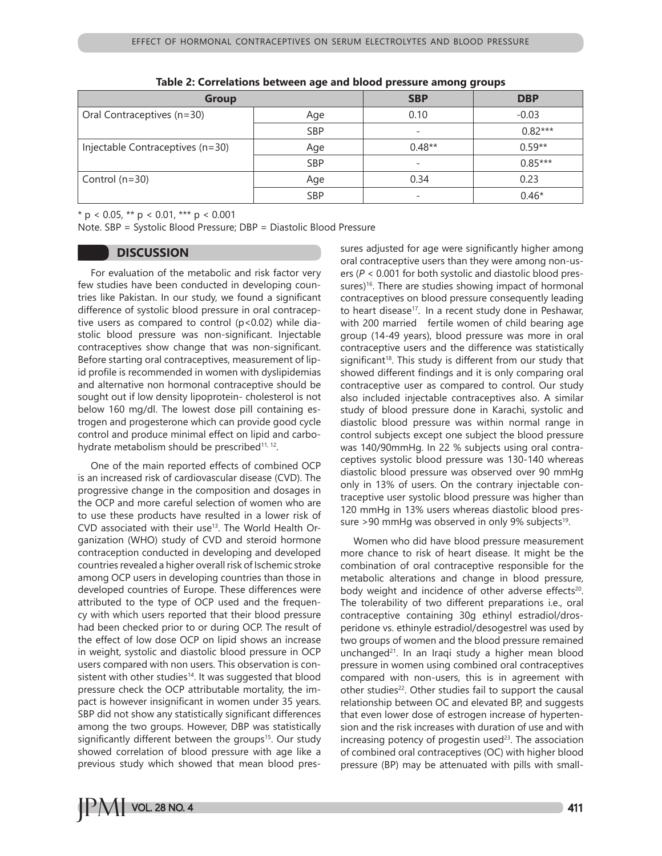| Group                            |            | <b>SBP</b>               | <b>DBP</b> |
|----------------------------------|------------|--------------------------|------------|
| Oral Contraceptives (n=30)       | Age        | 0.10                     | $-0.03$    |
|                                  | <b>SBP</b> | $\overline{\phantom{0}}$ | $0.82***$  |
| Injectable Contraceptives (n=30) | Age        | $0.48**$                 | $0.59**$   |
|                                  | <b>SBP</b> | -                        | $0.85***$  |
| Control $(n=30)$                 | Age        | 0.34                     | 0.23       |
|                                  | <b>SBP</b> | -                        | $0.46*$    |

**Table 2: Correlations between age and blood pressure among groups**

 $*$  p < 0.05,  $**$  p < 0.01,  $***$  p < 0.001

Note. SBP = Systolic Blood Pressure; DBP = Diastolic Blood Pressure

#### **DISCUSSION**

For evaluation of the metabolic and risk factor very few studies have been conducted in developing countries like Pakistan. In our study, we found a significant difference of systolic blood pressure in oral contraceptive users as compared to control  $(p<0.02)$  while diastolic blood pressure was non-significant. Injectable contraceptives show change that was non-significant. Before starting oral contraceptives, measurement of lipid profile is recommended in women with dyslipidemias and alternative non hormonal contraceptive should be sought out if low density lipoprotein- cholesterol is not below 160 mg/dl. The lowest dose pill containing estrogen and progesterone which can provide good cycle control and produce minimal effect on lipid and carbohydrate metabolism should be prescribed<sup>11, 12</sup>.

One of the main reported effects of combined OCP is an increased risk of cardiovascular disease (CVD). The progressive change in the composition and dosages in the OCP and more careful selection of women who are to use these products have resulted in a lower risk of CVD associated with their use<sup>13</sup>. The World Health Organization (WHO) study of CVD and steroid hormone contraception conducted in developing and developed countries revealed a higher overall risk of Ischemic stroke among OCP users in developing countries than those in developed countries of Europe. These differences were attributed to the type of OCP used and the frequency with which users reported that their blood pressure had been checked prior to or during OCP. The result of the effect of low dose OCP on lipid shows an increase in weight, systolic and diastolic blood pressure in OCP users compared with non users. This observation is consistent with other studies<sup>14</sup>. It was suggested that blood pressure check the OCP attributable mortality, the impact is however insignificant in women under 35 years. SBP did not show any statistically significant differences among the two groups. However, DBP was statistically significantly different between the groups<sup>15</sup>. Our study showed correlation of blood pressure with age like a previous study which showed that mean blood pressures adjusted for age were significantly higher among oral contraceptive users than they were among non-users (*P* < 0.001 for both systolic and diastolic blood pressures)<sup>16</sup>. There are studies showing impact of hormonal contraceptives on blood pressure consequently leading to heart disease<sup>17</sup>. In a recent study done in Peshawar, with 200 married fertile women of child bearing age group (14-49 years), blood pressure was more in oral contraceptive users and the difference was statistically significant<sup>18</sup>. This study is different from our study that showed different findings and it is only comparing oral contraceptive user as compared to control. Our study also included injectable contraceptives also. A similar study of blood pressure done in Karachi, systolic and diastolic blood pressure was within normal range in control subjects except one subject the blood pressure was 140/90mmHg. In 22 % subjects using oral contraceptives systolic blood pressure was 130-140 whereas diastolic blood pressure was observed over 90 mmHg only in 13% of users. On the contrary injectable contraceptive user systolic blood pressure was higher than 120 mmHg in 13% users whereas diastolic blood pressure >90 mmHg was observed in only 9% subjects<sup>19</sup>.

Women who did have blood pressure measurement more chance to risk of heart disease. It might be the combination of oral contraceptive responsible for the metabolic alterations and change in blood pressure, body weight and incidence of other adverse effects<sup>20</sup>. The tolerability of two different preparations i.e., oral contraceptive containing 30g ethinyl estradiol/drosperidone vs. ethinyle estradiol/desogestrel was used by two groups of women and the blood pressure remained unchanged $21$ . In an Iraqi study a higher mean blood pressure in women using combined oral contraceptives compared with non-users, this is in agreement with other studies<sup>22</sup>. Other studies fail to support the causal relationship between OC and elevated BP, and suggests that even lower dose of estrogen increase of hypertension and the risk increases with duration of use and with increasing potency of progestin used $23$ . The association of combined oral contraceptives (OC) with higher blood pressure (BP) may be attenuated with pills with small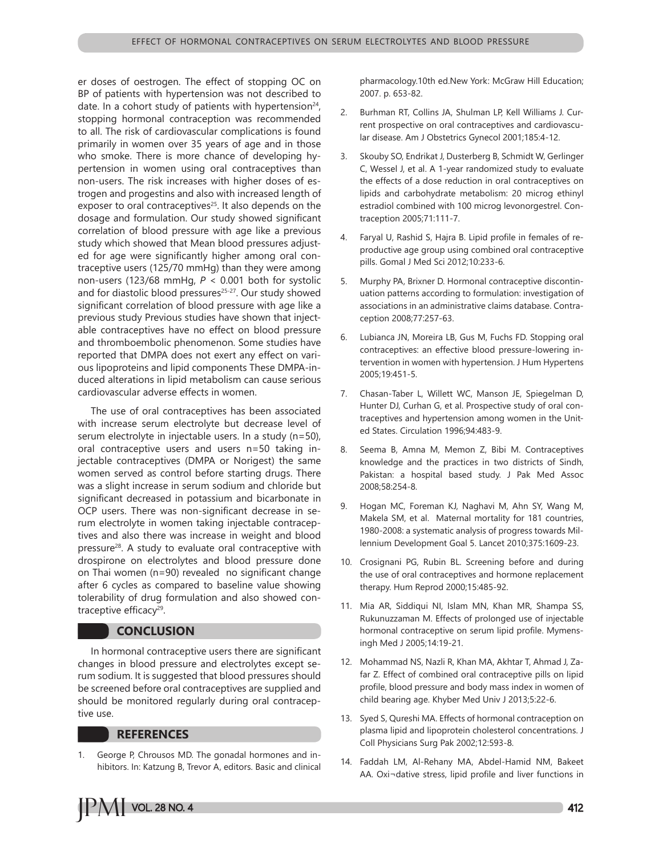er doses of oestrogen. The effect of stopping OC on BP of patients with hypertension was not described to date. In a cohort study of patients with hypertension $24$ , stopping hormonal contraception was recommended to all. The risk of cardiovascular complications is found primarily in women over 35 years of age and in those who smoke. There is more chance of developing hypertension in women using oral contraceptives than non-users. The risk increases with higher doses of estrogen and progestins and also with increased length of exposer to oral contraceptives<sup>25</sup>. It also depends on the dosage and formulation. Our study showed significant correlation of blood pressure with age like a previous study which showed that Mean blood pressures adjusted for age were significantly higher among oral contraceptive users (125/70 mmHg) than they were among non-users (123/68 mmHg, *P* < 0.001 both for systolic and for diastolic blood pressures<sup>25-27</sup>. Our study showed significant correlation of blood pressure with age like a previous study Previous studies have shown that injectable contraceptives have no effect on blood pressure and thromboembolic phenomenon. Some studies have reported that DMPA does not exert any effect on various lipoproteins and lipid components These DMPA-induced alterations in lipid metabolism can cause serious cardiovascular adverse effects in women.

The use of oral contraceptives has been associated with increase serum electrolyte but decrease level of serum electrolyte in injectable users. In a study (n=50), oral contraceptive users and users n=50 taking injectable contraceptives (DMPA or Norigest) the same women served as control before starting drugs. There was a slight increase in serum sodium and chloride but significant decreased in potassium and bicarbonate in OCP users. There was non-significant decrease in serum electrolyte in women taking injectable contraceptives and also there was increase in weight and blood pressure<sup>28</sup>. A study to evaluate oral contraceptive with drospirone on electrolytes and blood pressure done on Thai women (n=90) revealed no significant change after 6 cycles as compared to baseline value showing tolerability of drug formulation and also showed contraceptive efficacy<sup>29</sup>.

### **CONCLUSION**

In hormonal contraceptive users there are significant changes in blood pressure and electrolytes except serum sodium. It is suggested that blood pressures should be screened before oral contraceptives are supplied and should be monitored regularly during oral contraceptive use.

#### **REFERENCES**

1. George P, Chrousos MD. The gonadal hormones and inhibitors. In: Katzung B, Trevor A, editors. Basic and clinical pharmacology.10th ed.New York: McGraw Hill Education; 2007. p. 653-82.

- 2. Burhman RT, Collins JA, Shulman LP, Kell Williams J. Current prospective on oral contraceptives and cardiovascular disease. Am J Obstetrics Gynecol 2001;185:4-12.
- 3. Skouby SO, Endrikat J, Dusterberg B, Schmidt W, Gerlinger C, Wessel J, et al. A 1-year randomized study to evaluate the effects of a dose reduction in oral contraceptives on lipids and carbohydrate metabolism: 20 microg ethinyl estradiol combined with 100 microg levonorgestrel. Contraception 2005;71:111-7.
- 4. Faryal U, Rashid S, Hajra B. Lipid profile in females of reproductive age group using combined oral contraceptive pills. Gomal J Med Sci 2012;10:233-6.
- 5. Murphy PA, Brixner D. Hormonal contraceptive discontinuation patterns according to formulation: investigation of associations in an administrative claims database. Contraception 2008;77:257-63.
- 6. Lubianca JN, Moreira LB, Gus M, Fuchs FD. Stopping oral contraceptives: an effective blood pressure-lowering intervention in women with hypertension. J Hum Hypertens 2005;19:451-5.
- 7. Chasan-Taber L, Willett WC, Manson JE, Spiegelman D, Hunter DJ, Curhan G, et al. Prospective study of oral contraceptives and hypertension among women in the United States. Circulation 1996;94:483-9.
- 8. Seema B, Amna M, Memon Z, Bibi M. Contraceptives knowledge and the practices in two districts of Sindh, Pakistan: a hospital based study. J Pak Med Assoc 2008;58:254-8.
- 9. Hogan MC, Foreman KJ, Naghavi M, Ahn SY, Wang M, Makela SM, et al. Maternal mortality for 181 countries, 1980-2008: a systematic analysis of progress towards Millennium Development Goal 5. Lancet 2010;375:1609-23.
- 10. Crosignani PG, Rubin BL. Screening before and during the use of oral contraceptives and hormone replacement therapy. Hum Reprod 2000;15:485-92.
- 11. Mia AR, Siddiqui NI, Islam MN, Khan MR, Shampa SS, Rukunuzzaman M. Effects of prolonged use of injectable hormonal contraceptive on serum lipid profile. Mymensingh Med J 2005;14:19-21.
- 12. Mohammad NS, Nazli R, Khan MA, Akhtar T, Ahmad J, Zafar Z. Effect of combined oral contraceptive pills on lipid profile, blood pressure and body mass index in women of child bearing age. Khyber Med Univ J 2013;5:22-6.
- 13. Syed S, Qureshi MA. Effects of hormonal contraception on plasma lipid and lipoprotein cholesterol concentrations. J Coll Physicians Surg Pak 2002;12:593-8.
- 14. Faddah LM, Al-Rehany MA, Abdel-Hamid NM, Bakeet AA. Oxi¬dative stress, lipid profile and liver functions in